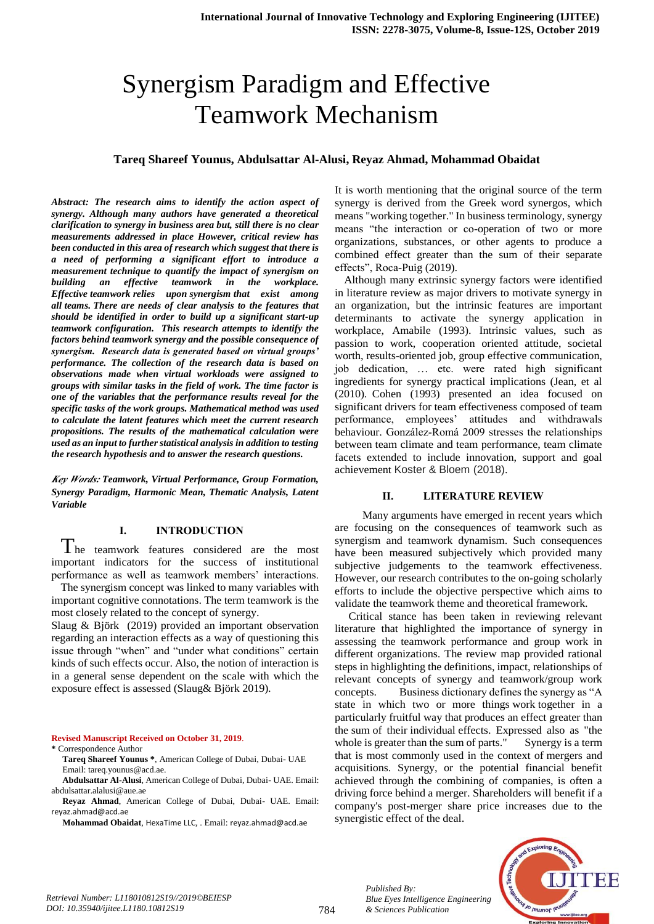# Synergism Paradigm and Effective Teamwork Mechanism

#### **Tareq Shareef Younus, Abdulsattar Al-Alusi, Reyaz Ahmad, Mohammad Obaidat**

*Abstract: The research aims to identify the action aspect of synergy. Although many authors have generated a theoretical clarification to synergy in business area but, still there is no clear measurements addressed in place However, critical review has been conducted in this area of research which suggest that there is a need of performing a significant effort to introduce a measurement technique to quantify the impact of synergism on building an effective teamwork in the workplace. Effective teamwork relies upon synergism that exist among all teams. There are needs of clear analysis to the features that should be identified in order to build up a significant start-up teamwork configuration. This research attempts to identify the factors behind teamwork synergy and the possible consequence of synergism. Research data is generated based on virtual groups' performance. The collection of the research data is based on observations made when virtual workloads were assigned to groups with similar tasks in the field of work. The time factor is one of the variables that the performance results reveal for the specific tasks of the work groups. Mathematical method was used to calculate the latent features which meet the current research propositions. The results of the mathematical calculation were used as an input to further statistical analysis in addition to testing the research hypothesis and to answer the research questions.*

*Key Words: Teamwork, Virtual Performance, Group Formation, Synergy Paradigm, Harmonic Mean, Thematic Analysis, Latent Variable*

#### **I. INTRODUCTION**

The teamwork features considered are the most important indicators for the success of institutional performance as well as teamwork members' interactions.

The synergism concept was linked to many variables with important cognitive connotations. The term teamwork is the most closely related to the concept of synergy.

Slaug & Björk (2019) provided an important observation regarding an interaction effects as a way of questioning this issue through "when" and "under what conditions" certain kinds of such effects occur. Also, the notion of interaction is in a general sense dependent on the scale with which the exposure effect is assessed (Slaug& Björk 2019).

**Revised Manuscript Received on October 31, 2019**.

**\*** Correspondence Author

It is worth mentioning that the original source of the term synergy is derived from the Greek word synergos, which means "working together." In business terminology, synergy means "the interaction or co-operation of two or more organizations, substances, or other agents to produce a combined effect greater than the sum of their separate effects", Roca-Puig (2019).

Although many extrinsic synergy factors were identified in literature review as major drivers to motivate synergy in an organization, but the intrinsic features are important determinants to activate the synergy application in workplace, Amabile (1993). Intrinsic values, such as passion to work, cooperation oriented attitude, societal worth, results-oriented job, group effective communication, job dedication, … etc. were rated high significant ingredients for synergy practical implications (Jean, et al (2010). Cohen (1993) presented an idea focused on significant drivers for team effectiveness composed of team performance, employees' attitudes and withdrawals behaviour. González‐Romá 2009 stresses the relationships between team climate and team performance, team climate facets extended to include innovation, support and goal achievement Koster & Bloem (2018).

#### **II. LITERATURE REVIEW**

 Many arguments have emerged in recent years which are focusing on the consequences of teamwork such as synergism and teamwork dynamism. Such consequences have been measured subjectively which provided many subjective judgements to the teamwork effectiveness. However, our research contributes to the on-going scholarly efforts to include the objective perspective which aims to validate the teamwork theme and theoretical framework.

 Critical stance has been taken in reviewing relevant literature that highlighted the importance of synergy in assessing the teamwork performance and group work in different organizations. The review map provided rational steps in highlighting the definitions, impact, relationships of relevant concepts of synergy and teamwork/group work concepts. Business dictionary defines the synergy as "A state in which two or more things work together in a particularly fruitful way that [produces](http://www.businessdictionary.com/definition/produce.html) an effect greater than the [sum](http://www.businessdictionary.com/definition/sum.html) of their [individual](http://www.businessdictionary.com/definition/individual.html) effects. Expressed also as "the whole is greater than the sum o[f parts.](http://www.businessdictionary.com/definition/part.html)" Synergy is a term that is most commonly used in the context of [mergers and](http://www.investopedia.com/terms/m/mergersandacquisitions.asp)  [acquisitions.](http://www.investopedia.com/terms/m/mergersandacquisitions.asp) Synergy, or the potential financial benefit achieved through the combining of companies, is often a driving force behind a merger. [Shareholders](http://www.investopedia.com/terms/s/shareholder.asp) will benefit if a company's post-merger share price increases due to the synergistic effect of the deal.



*Published By:*

*& Sciences Publication* 

**Tareq Shareef Younus \***, American College of Dubai, Dubai- UAE Email: tareq.younus@acd.ae.

**Abdulsattar Al-Alusi**, American College of Dubai, Dubai- UAE. Email: abdulsattar.alalusi@aue.ae

**Reyaz Ahmad**, American College of Dubai, Dubai- UAE. Email: [reyaz.ahmad@acd.ae](mailto:reyaz.ahmad@acd.ae)

**Mohammad Obaidat**, HexaTime LLC, . Email: [reyaz.ahmad@acd.ae](mailto:reyaz.ahmad@acd.ae)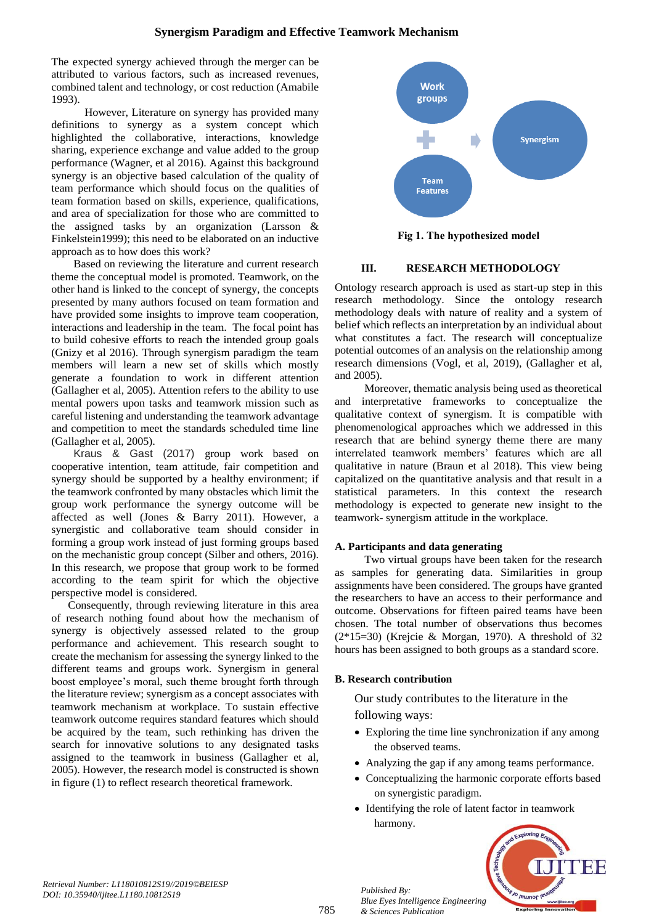The expected synergy achieved through the [merger](http://www.investopedia.com/terms/m/merger.asp) can be attributed to various factors, such as increased revenues, combined talent and technology, or cost reduction (Amabile 1993).

 However, Literature on synergy has provided many definitions to synergy as a system concept which highlighted the collaborative, interactions, knowledge sharing, experience exchange and value added to the group performance (Wagner, et al 2016). Against this background synergy is an objective based calculation of the quality of team performance which should focus on the qualities of team formation based on skills, experience, qualifications, and area of specialization for those who are committed to the assigned tasks by an organization (Larsson & Finkelstein1999); this need to be elaborated on an inductive approach as to how does this work?

 Based on reviewing the literature and current research theme the conceptual model is promoted. Teamwork, on the other hand is linked to the concept of synergy, the concepts presented by many authors focused on team formation and have provided some insights to improve team cooperation, interactions and leadership in the team. The focal point has to build cohesive efforts to reach the intended group goals (Gnizy et al 2016). Through synergism paradigm the team members will learn a new set of skills which mostly generate a foundation to work in different attention (Gallagher et al, 2005). Attention refers to the ability to use mental powers upon tasks and teamwork mission such as careful listening and understanding the teamwork advantage and competition to meet the standards scheduled time line (Gallagher et al, 2005).

 Kraus & Gast (2017) group work based on cooperative intention, team attitude, fair competition and synergy should be supported by a healthy environment; if the teamwork confronted by many obstacles which limit the group work performance the synergy outcome will be affected as well (Jones & Barry 2011). However, a synergistic and collaborative team should consider in forming a group work instead of just forming groups based on the mechanistic group concept (Silber and others, 2016). In this research, we propose that group work to be formed according to the team spirit for which the objective perspective model is considered.

 Consequently, through reviewing literature in this area of research nothing found about how the mechanism of synergy is objectively assessed related to the group performance and achievement. This research sought to create the mechanism for assessing the synergy linked to the different teams and groups work. Synergism in general boost employee's moral, such theme brought forth through the literature review; synergism as a concept associates with teamwork mechanism at workplace. To sustain effective teamwork outcome requires standard features which should be acquired by the team, such rethinking has driven the search for innovative solutions to any designated tasks assigned to the teamwork in business (Gallagher et al, 2005). However, the research model is constructed is shown in figure (1) to reflect research theoretical framework.



**Fig 1. The hypothesized model**

## **III. RESEARCH METHODOLOGY**

Ontology research approach is used as start-up step in this research methodology. Since the ontology research methodology deals with nature of reality and a system of belief which reflects an interpretation by an individual about what constitutes a fact. The research will conceptualize potential outcomes of an analysis on the relationship among research dimensions (Vogl, et al, 2019), (Gallagher et al, and 2005).

Moreover, thematic analysis being used as theoretical and interpretative frameworks to conceptualize the qualitative context of synergism. It is compatible with phenomenological approaches which we addressed in this research that are behind synergy theme there are many interrelated teamwork members' features which are all qualitative in nature (Braun et al 2018). This view being capitalized on the quantitative analysis and that result in a statistical parameters. In this context the research methodology is expected to generate new insight to the teamwork- synergism attitude in the workplace.

## **A. Participants and data generating**

Two virtual groups have been taken for the research as samples for generating data. Similarities in group assignments have been considered. The groups have granted the researchers to have an access to their performance and outcome. Observations for fifteen paired teams have been chosen. The total number of observations thus becomes (2\*15=30) (Krejcie & Morgan, 1970). A threshold of 32 hours has been assigned to both groups as a standard score.

## **B. Research contribution**

*Published By:*

*& Sciences Publication* 

*Blue Eyes Intelligence Engineering* 

Our study contributes to the literature in the following ways:

- Exploring the time line synchronization if any among the observed teams.
- Analyzing the gap if any among teams performance.
- Conceptualizing the harmonic corporate efforts based on synergistic paradigm.
- Identifying the role of latent factor in teamwork harmony.



*Retrieval Number: L118010812S19//2019©BEIESP DOI: 10.35940/ijitee.L1180.10812S19*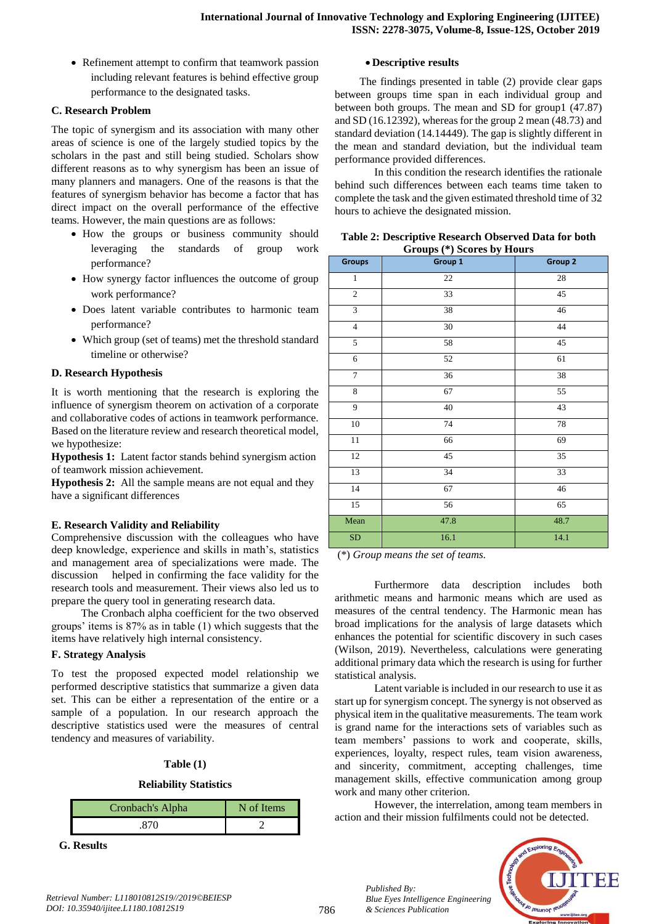• Refinement attempt to confirm that teamwork passion including relevant features is behind effective group performance to the designated tasks.

## **C. Research Problem**

The topic of synergism and its association with many other areas of science is one of the largely studied topics by the scholars in the past and still being studied. Scholars show different reasons as to why synergism has been an issue of many planners and managers. One of the reasons is that the features of synergism behavior has become a factor that has direct impact on the overall performance of the effective teams. However, the main questions are as follows:

- How the groups or business community should leveraging the standards of group work performance?
- How synergy factor influences the outcome of group work performance?
- Does latent variable contributes to harmonic team performance?
- Which group (set of teams) met the threshold standard timeline or otherwise?

## **D. Research Hypothesis**

It is worth mentioning that the research is exploring the influence of synergism theorem on activation of a corporate and collaborative codes of actions in teamwork performance. Based on the literature review and research theoretical model, we hypothesize:

**Hypothesis 1:** Latent factor stands behind synergism action of teamwork mission achievement.

**Hypothesis 2:** All the sample means are not equal and they have a significant differences

## **E. Research Validity and Reliability**

Comprehensive discussion with the colleagues who have deep knowledge, experience and skills in math's, statistics and management area of specializations were made. The discussion helped in confirming the face validity for the research tools and measurement. Their views also led us to prepare the query tool in generating research data.

The Cronbach alpha coefficient for the two observed groups' items is 87% as in table (1) which suggests that the items have relatively high internal consistency.

## **F. Strategy Analysis**

To test the proposed expected model relationship we performed descriptive statistics that summarize a given data set. This can be either a representation of the entire or a sample of a population. In our research approach the descriptive statistics used were the measures of central tendency and measures of variability.

## **Table (1)**

## **Reliability Statistics**

| Cronbach's Alpha | N of Items |
|------------------|------------|
|                  |            |

**G. Results**

### **Descriptive results**

The findings presented in table (2) provide clear gaps between groups time span in each individual group and between both groups. The mean and SD for group1 (47.87) and SD (16.12392), whereas for the group 2 mean (48.73) and standard deviation (14.14449). The gap is slightly different in the mean and standard deviation, but the individual team performance provided differences.

In this condition the research identifies the rationale behind such differences between each teams time taken to complete the task and the given estimated threshold time of 32 hours to achieve the designated mission.

| <b>Groups</b>    | Groups (*) Scores by Hours<br>Group 1 | Group 2         |
|------------------|---------------------------------------|-----------------|
| $\,1$            | $22\,$                                | 28              |
| $\overline{2}$   | 33                                    | $\overline{45}$ |
| $\overline{3}$   | 38                                    | 46              |
| $\overline{4}$   | $30\,$                                | 44              |
| $\overline{5}$   | 58                                    | $\overline{45}$ |
| 6                | 52                                    | 61              |
| $\boldsymbol{7}$ | 36                                    | 38              |
| 8                | 67                                    | 55              |
| 9                | 40                                    | 43              |
| 10               | 74                                    | 78              |
| $11\,$           | 66                                    | 69              |
| $\overline{12}$  | $\overline{45}$                       | 35              |
| 13               | 34                                    | 33              |
| 14               | 67                                    | 46              |
| $\overline{15}$  | 56                                    | $\overline{65}$ |
| Mean             | 47.8                                  | 48.7            |
| SD               | 16.1                                  | 14.1            |

**Table 2: Descriptive Research Observed Data for both Groups (\*) Scores by Hours**

(\*) *Group means the set of teams.* 

Furthermore data description includes both arithmetic means and harmonic means which are used as measures of the central tendency. The Harmonic mean has broad implications for the analysis of large datasets which enhances the potential for scientific discovery in such cases (Wilson, 2019). Nevertheless, calculations were generating additional primary data which the research is using for further statistical analysis.

Latent variable is included in our research to use it as start up for synergism concept. The synergy is not observed as physical item in the qualitative measurements. The team work is grand name for the interactions sets of variables such as team members' passions to work and cooperate, skills, experiences, loyalty, respect rules, team vision awareness, and sincerity, commitment, accepting challenges, time management skills, effective communication among group work and many other criterion.

However, the interrelation, among team members in action and their mission fulfilments could not be detected.



*Published By:*

*& Sciences Publication* 

*Blue Eyes Intelligence Engineering*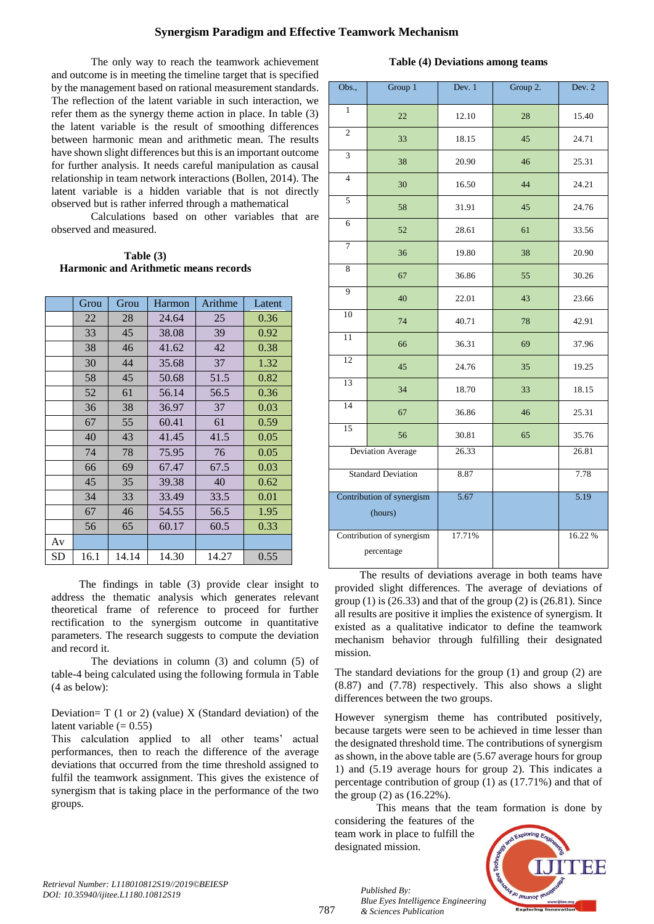## **Synergism Paradigm and Effective Teamwork Mechanism**

The only way to reach the teamwork achievement and outcome is in meeting the timeline target that is specified by the management based on rational measurement standards. The reflection of the latent variable in such interaction, we refer them as the synergy theme action in place. In table (3) the latent variable is the result of smoothing differences between harmonic mean and arithmetic mean. The results have shown slight differences but this is an important outcome for further analysis. It needs careful manipulation as causal relationship in team network interactions (Bollen, 2014). The latent variable is a hidden variable that is not directly observed but is rather inferred through a mathematical

Calculations based on other variables that are observed and measured.

| Table (3)                                    |
|----------------------------------------------|
| <b>Harmonic and Arithmetic means records</b> |

|    | Grou | Grou  | Harmon | Arithme | Latent |
|----|------|-------|--------|---------|--------|
|    | 22   | 28    | 24.64  | 25      | 0.36   |
|    | 33   | 45    | 38.08  | 39      | 0.92   |
|    | 38   | 46    | 41.62  | 42      | 0.38   |
|    | 30   | 44    | 35.68  | 37      | 1.32   |
|    | 58   | 45    | 50.68  | 51.5    | 0.82   |
|    | 52   | 61    | 56.14  | 56.5    | 0.36   |
|    | 36   | 38    | 36.97  | 37      | 0.03   |
|    | 67   | 55    | 60.41  | 61      | 0.59   |
|    | 40   | 43    | 41.45  | 41.5    | 0.05   |
|    | 74   | 78    | 75.95  | 76      | 0.05   |
|    | 66   | 69    | 67.47  | 67.5    | 0.03   |
|    | 45   | 35    | 39.38  | 40      | 0.62   |
|    | 34   | 33    | 33.49  | 33.5    | 0.01   |
|    | 67   | 46    | 54.55  | 56.5    | 1.95   |
|    | 56   | 65    | 60.17  | 60.5    | 0.33   |
| Av |      |       |        |         |        |
| SD | 16.1 | 14.14 | 14.30  | 14.27   | 0.55   |

The findings in table (3) provide clear insight to address the thematic analysis which generates relevant theoretical frame of reference to proceed for further rectification to the synergism outcome in quantitative parameters. The research suggests to compute the deviation and record it.

The deviations in column (3) and column (5) of table-4 being calculated using the following formula in Table (4 as below):

Deviation=  $T(1 \text{ or } 2)$  (value) X (Standard deviation) of the latent variable  $(= 0.55)$ 

This calculation applied to all other teams' actual performances, then to reach the difference of the average deviations that occurred from the time threshold assigned to fulfil the teamwork assignment. This gives the existence of synergism that is taking place in the performance of the two groups.

|  |  | Table (4) Deviations among teams |  |  |
|--|--|----------------------------------|--|--|
|--|--|----------------------------------|--|--|

| Obs.,                                   | Group 1           | Dev. $1$ | Group 2. | Dev. $2$ |
|-----------------------------------------|-------------------|----------|----------|----------|
| $\mathbf{1}$                            | 22                | 12.10    | 28       | 15.40    |
| $\overline{2}$                          | 33                | 18.15    | 45       | 24.71    |
| $\overline{3}$                          | 38                | 20.90    | 46       | 25.31    |
| $\overline{4}$                          | 30                | 16.50    | 44       | 24.21    |
| $\overline{5}$                          | 58                | 31.91    | 45       | 24.76    |
| 6                                       | 52                | 28.61    | 61       | 33.56    |
| $\overline{7}$                          | 36                | 19.80    | 38       | 20.90    |
| 8                                       | 67                | 36.86    | 55       | 30.26    |
| 9                                       | 40                | 22.01    | 43       | 23.66    |
| 10                                      | 74                | 40.71    | 78       | 42.91    |
| 11                                      | 66                | 36.31    | 69       | 37.96    |
| $\overline{12}$                         | 45                | 24.76    | 35       | 19.25    |
| 13                                      | 34                | 18.70    | 33       | 18.15    |
| 14                                      | 67                | 36.86    | 46       | 25.31    |
| 15                                      | 56                | 30.81    | 65       | 35.76    |
|                                         | Deviation Average | 26.33    |          | 26.81    |
| <b>Standard Deviation</b>               |                   | 8.87     |          | 7.78     |
| Contribution of synergism<br>(hours)    |                   | 5.67     |          | 5.19     |
| Contribution of synergism<br>percentage |                   | 17.71%   |          | 16.22 %  |

 The results of deviations average in both teams have provided slight differences. The average of deviations of group  $(1)$  is  $(26.33)$  and that of the group  $(2)$  is  $(26.81)$ . Since all results are positive it implies the existence of synergism. It existed as a qualitative indicator to define the teamwork mechanism behavior through fulfilling their designated mission.

The standard deviations for the group (1) and group (2) are (8.87) and (7.78) respectively. This also shows a slight differences between the two groups.

However synergism theme has contributed positively, because targets were seen to be achieved in time lesser than the designated threshold time. The contributions of synergism as shown, in the above table are (5.67 average hours for group 1) and (5.19 average hours for group 2). This indicates a percentage contribution of group (1) as (17.71%) and that of the group (2) as (16.22%).

 This means that the team formation is done by considering the features of the team work in place to fulfill the designated mission.



*Retrieval Number: L118010812S19//2019©BEIESP DOI: 10.35940/ijitee.L1180.10812S19*

787

*Published By: Blue Eyes Intelligence Engineering & Sciences Publication*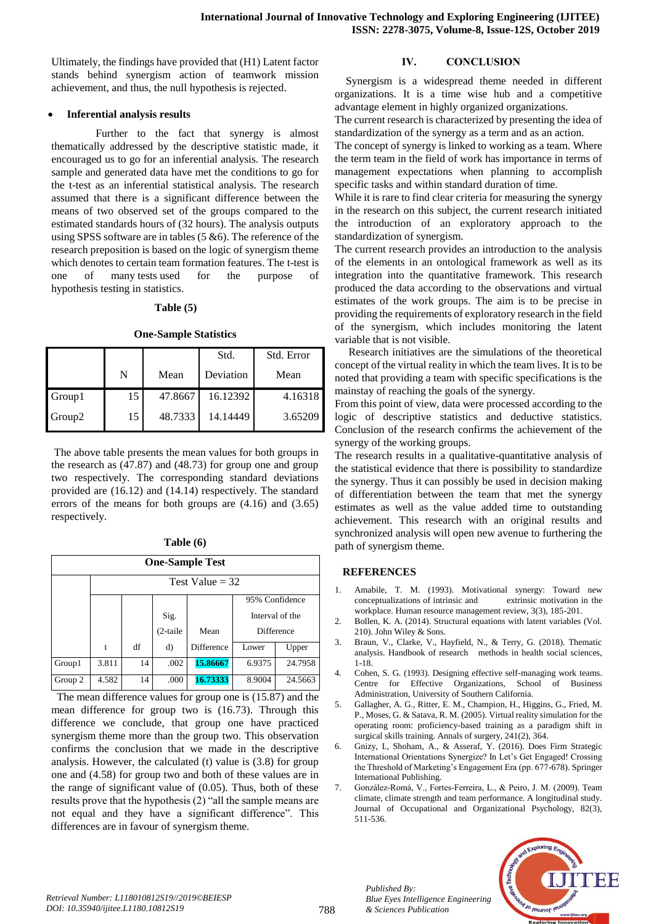Ultimately, the findings have provided that (H1) Latent factor stands behind synergism action of teamwork mission achievement, and thus, the null hypothesis is rejected.

### **Inferential analysis results**

 Further to the fact that synergy is almost thematically addressed by the descriptive statistic made, it encouraged us to go for an inferential analysis. The research sample and generated data have met the conditions to go for the t-test as an inferential statistical analysis. The research assumed that there is a significant difference between the means of two observed set of the groups compared to the estimated standards hours of (32 hours). The analysis outputs using SPSS software are in tables  $(5 \& 6)$ . The reference of the research preposition is based on the logic of synergism theme which denotes to certain team formation features. The t-test is one of many tests used for the purpose of hypothesis testing in statistics.

#### **Table (5)**

#### **One-Sample Statistics**

|        |    |         | Std.      | Std. Error |
|--------|----|---------|-----------|------------|
|        | N  | Mean    | Deviation | Mean       |
| Group1 | 15 | 47.8667 | 16.12392  | 4.16318    |
| Group2 | 15 | 48.7333 | 14.14449  | 3.65209    |

The above table presents the mean values for both groups in the research as (47.87) and (48.73) for group one and group two respectively. The corresponding standard deviations provided are (16.12) and (14.14) respectively. The standard errors of the means for both groups are (4.16) and (3.65) respectively.

| l'able (6) |  |
|------------|--|
|------------|--|

| <b>One-Sample Test</b> |                   |    |            |            |                 |         |
|------------------------|-------------------|----|------------|------------|-----------------|---------|
|                        | Test Value $=$ 32 |    |            |            |                 |         |
|                        | 95% Confidence    |    |            |            |                 |         |
|                        |                   |    | Sig.       |            | Interval of the |         |
|                        |                   |    | $(2-taile$ | Mean       | Difference      |         |
|                        | t                 | df | d)         | Difference | Lower           | Upper   |
| Group1                 | 3.811             | 14 | .002       | 15.86667   | 6.9375          | 24.7958 |
| Group 2                | 4.582             | 14 | .000       | 16.73333   | 8.9004          | 24.5663 |

 The mean difference values for group one is (15.87) and the mean difference for group two is (16.73). Through this difference we conclude, that group one have practiced synergism theme more than the group two. This observation confirms the conclusion that we made in the descriptive analysis. However, the calculated (t) value is (3.8) for group one and (4.58) for group two and both of these values are in the range of significant value of (0.05). Thus, both of these results prove that the hypothesis (2) "all the sample means are not equal and they have a significant difference". This differences are in favour of synergism theme.

# **IV. CONCLUSION**

 Synergism is a widespread theme needed in different organizations. It is a time wise hub and a competitive advantage element in highly organized organizations.

The current research is characterized by presenting the idea of standardization of the synergy as a term and as an action.

The concept of synergy is linked to working as a team. Where the term team in the field of work has importance in terms of management expectations when planning to accomplish specific tasks and within standard duration of time.

While it is rare to find clear criteria for measuring the synergy in the research on this subject, the current research initiated the introduction of an exploratory approach to the standardization of synergism.

The current research provides an introduction to the analysis of the elements in an ontological framework as well as its integration into the quantitative framework. This research produced the data according to the observations and virtual estimates of the work groups. The aim is to be precise in providing the requirements of exploratory research in the field of the synergism, which includes monitoring the latent variable that is not visible.

 Research initiatives are the simulations of the theoretical concept of the virtual reality in which the team lives. It is to be noted that providing a team with specific specifications is the mainstay of reaching the goals of the synergy.

From this point of view, data were processed according to the logic of descriptive statistics and deductive statistics. Conclusion of the research confirms the achievement of the synergy of the working groups.

The research results in a qualitative-quantitative analysis of the statistical evidence that there is possibility to standardize the synergy. Thus it can possibly be used in decision making of differentiation between the team that met the synergy estimates as well as the value added time to outstanding achievement. This research with an original results and synchronized analysis will open new avenue to furthering the path of synergism theme.

## **REFERENCES**

- 1. Amabile, T. M. (1993). Motivational synergy: Toward new conceptualizations of intrinsic and extrinsic motivation in the workplace. Human resource management review, 3(3), 185-201.
- 2. Bollen, K. A. (2014). Structural equations with latent variables (Vol. 210). John Wiley & Sons.
- 3. Braun, V., Clarke, V., Hayfield, N., & Terry, G. (2018). Thematic analysis. Handbook of research methods in health social sciences, 1-18.
- 4. Cohen, S. G. (1993). Designing effective self-managing work teams. Centre for Effective Organizations, School of Business Administration, University of Southern California.
- 5. Gallagher, A. G., Ritter, E. M., Champion, H., Higgins, G., Fried, M. P., Moses, G. & Satava, R. M. (2005). Virtual reality simulation for the operating room: proficiency-based training as a paradigm shift in surgical skills training. Annals of surgery, 241(2), 364.
- 6. Gnizy, I., Shoham, A., & Asseraf, Y. (2016). Does Firm Strategic International Orientations Synergize? In Let's Get Engaged! Crossing the Threshold of Marketing's Engagement Era (pp. 677-678). Springer International Publishing.
- 7. González‐Romá, V., Fortes‐Ferreira, L., & Peiro, J. M. (2009). Team climate, climate strength and team performance. A longitudinal study. Journal of Occupational and Organizational Psychology, 82(3), 511-536.



*Published By:*

*& Sciences Publication*